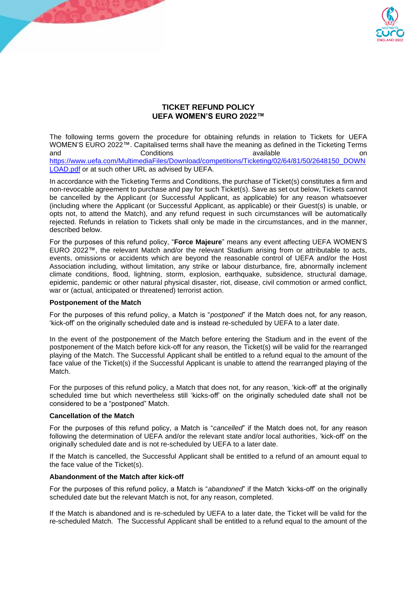

# **TICKET REFUND POLICY UEFA WOMEN'S EURO 2022™**

The following terms govern the procedure for obtaining refunds in relation to Tickets for UEFA WOMEN'S EURO 2022™. Capitalised terms shall have the meaning as defined in the Ticketing Terms and **Conditions** Conditions available available on [https://www.uefa.com/MultimediaFiles/Download/competitions/Ticketing/02/64/81/50/2648150\\_DOWN](https://www.uefa.com/MultimediaFiles/Download/competitions/Ticketing/02/64/81/50/2648150_DOWNLOAD.pdf) [LOAD.pdf](https://www.uefa.com/MultimediaFiles/Download/competitions/Ticketing/02/64/81/50/2648150_DOWNLOAD.pdf) or at such other URL as advised by UEFA.

In accordance with the Ticketing Terms and Conditions, the purchase of Ticket(s) constitutes a firm and non-revocable agreement to purchase and pay for such Ticket(s). Save as set out below, Tickets cannot be cancelled by the Applicant (or Successful Applicant, as applicable) for any reason whatsoever (including where the Applicant (or Successful Applicant, as applicable) or their Guest(s) is unable, or opts not, to attend the Match), and any refund request in such circumstances will be automatically rejected. Refunds in relation to Tickets shall only be made in the circumstances, and in the manner, described below.

For the purposes of this refund policy, "**Force Majeure**" means any event affecting UEFA WOMEN'S EURO 2022™, the relevant Match and/or the relevant Stadium arising from or attributable to acts, events, omissions or accidents which are beyond the reasonable control of UEFA and/or the Host Association including, without limitation, any strike or labour disturbance, fire, abnormally inclement climate conditions, flood, lightning, storm, explosion, earthquake, subsidence, structural damage, epidemic, pandemic or other natural physical disaster, riot, disease, civil commotion or armed conflict, war or (actual, anticipated or threatened) terrorist action.

### **Postponement of the Match**

For the purposes of this refund policy, a Match is "*postponed*" if the Match does not, for any reason, 'kick-off' on the originally scheduled date and is instead re-scheduled by UEFA to a later date.

In the event of the postponement of the Match before entering the Stadium and in the event of the postponement of the Match before kick-off for any reason, the Ticket(s) will be valid for the rearranged playing of the Match. The Successful Applicant shall be entitled to a refund equal to the amount of the face value of the Ticket(s) if the Successful Applicant is unable to attend the rearranged playing of the Match.

For the purposes of this refund policy, a Match that does not, for any reason, 'kick-off' at the originally scheduled time but which nevertheless still 'kicks-off' on the originally scheduled date shall not be considered to be a "postponed" Match.

### **Cancellation of the Match**

For the purposes of this refund policy, a Match is "*cancelled*" if the Match does not, for any reason following the determination of UEFA and/or the relevant state and/or local authorities, 'kick-off' on the originally scheduled date and is not re-scheduled by UEFA to a later date.

If the Match is cancelled, the Successful Applicant shall be entitled to a refund of an amount equal to the face value of the Ticket(s).

## **Abandonment of the Match after kick-off**

For the purposes of this refund policy, a Match is "*abandoned*" if the Match 'kicks-off' on the originally scheduled date but the relevant Match is not, for any reason, completed.

If the Match is abandoned and is re-scheduled by UEFA to a later date, the Ticket will be valid for the re-scheduled Match. The Successful Applicant shall be entitled to a refund equal to the amount of the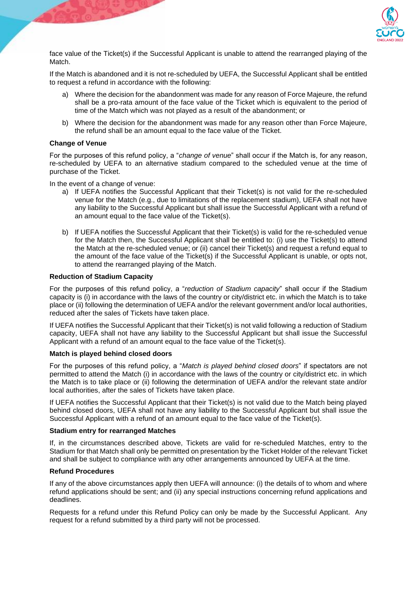

face value of the Ticket(s) if the Successful Applicant is unable to attend the rearranged playing of the Match.

If the Match is abandoned and it is not re-scheduled by UEFA, the Successful Applicant shall be entitled to request a refund in accordance with the following:

- a) Where the decision for the abandonment was made for any reason of Force Majeure, the refund shall be a pro-rata amount of the face value of the Ticket which is equivalent to the period of time of the Match which was not played as a result of the abandonment; or
- b) Where the decision for the abandonment was made for any reason other than Force Majeure, the refund shall be an amount equal to the face value of the Ticket.

### **Change of Venue**

For the purposes of this refund policy, a "*change of venue*" shall occur if the Match is, for any reason, re-scheduled by UEFA to an alternative stadium compared to the scheduled venue at the time of purchase of the Ticket.

In the event of a change of venue:

- a) If UEFA notifies the Successful Applicant that their Ticket(s) is not valid for the re-scheduled venue for the Match (e.g., due to limitations of the replacement stadium), UEFA shall not have any liability to the Successful Applicant but shall issue the Successful Applicant with a refund of an amount equal to the face value of the Ticket(s).
- b) If UEFA notifies the Successful Applicant that their Ticket(s) is valid for the re-scheduled venue for the Match then, the Successful Applicant shall be entitled to: (i) use the Ticket(s) to attend the Match at the re-scheduled venue; or (ii) cancel their Ticket(s) and request a refund equal to the amount of the face value of the Ticket(s) if the Successful Applicant is unable, or opts not, to attend the rearranged playing of the Match.

### **Reduction of Stadium Capacity**

For the purposes of this refund policy, a "*reduction of Stadium capacity*" shall occur if the Stadium capacity is (i) in accordance with the laws of the country or city/district etc. in which the Match is to take place or (ii) following the determination of UEFA and/or the relevant government and/or local authorities, reduced after the sales of Tickets have taken place.

If UEFA notifies the Successful Applicant that their Ticket(s) is not valid following a reduction of Stadium capacity, UEFA shall not have any liability to the Successful Applicant but shall issue the Successful Applicant with a refund of an amount equal to the face value of the Ticket(s).

### **Match is played behind closed doors**

For the purposes of this refund policy, a "*Match is played behind closed doors*" if spectators are not permitted to attend the Match (i) in accordance with the laws of the country or city/district etc. in which the Match is to take place or (ii) following the determination of UEFA and/or the relevant state and/or local authorities, after the sales of Tickets have taken place.

If UEFA notifies the Successful Applicant that their Ticket(s) is not valid due to the Match being played behind closed doors, UEFA shall not have any liability to the Successful Applicant but shall issue the Successful Applicant with a refund of an amount equal to the face value of the Ticket(s).

### **Stadium entry for rearranged Matches**

If, in the circumstances described above, Tickets are valid for re-scheduled Matches, entry to the Stadium for that Match shall only be permitted on presentation by the Ticket Holder of the relevant Ticket and shall be subject to compliance with any other arrangements announced by UEFA at the time.

### **Refund Procedures**

If any of the above circumstances apply then UEFA will announce: (i) the details of to whom and where refund applications should be sent; and (ii) any special instructions concerning refund applications and deadlines.

Requests for a refund under this Refund Policy can only be made by the Successful Applicant. Any request for a refund submitted by a third party will not be processed.